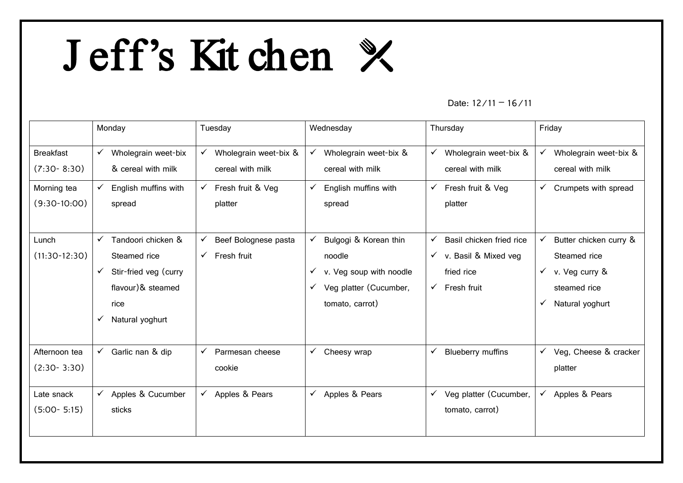## J eff's Kit chen

## Date:  $12/11 - 16/11$

|                                     | Monday                                                    | Tuesday                                                   | Wednesday                                                 | Thursday                                                  | Friday                                                    |
|-------------------------------------|-----------------------------------------------------------|-----------------------------------------------------------|-----------------------------------------------------------|-----------------------------------------------------------|-----------------------------------------------------------|
| <b>Breakfast</b><br>$(7:30 - 8:30)$ | Wholegrain weet-bix<br>$\checkmark$<br>& cereal with milk | Wholegrain weet-bix &<br>$\checkmark$<br>cereal with milk | Wholegrain weet-bix &<br>$\checkmark$<br>cereal with milk | Wholegrain weet-bix &<br>$\checkmark$<br>cereal with milk | Wholegrain weet-bix &<br>$\checkmark$<br>cereal with milk |
| Morning tea<br>$(9:30-10:00)$       | English muffins with<br>$\checkmark$<br>spread            | Fresh fruit & Veg<br>$\checkmark$<br>platter              | English muffins with<br>$\checkmark$<br>spread            | Fresh fruit & Veg<br>$\checkmark$<br>platter              | Crumpets with spread<br>$\checkmark$                      |
| Lunch                               | Tandoori chicken &<br>$\checkmark$                        | Beef Bolognese pasta<br>$\checkmark$                      | Bulgogi & Korean thin<br>✓                                | Basil chicken fried rice<br>$\checkmark$                  | ✓<br>Butter chicken curry &                               |
| $(11:30-12:30)$                     | Steamed rice                                              | $\checkmark$<br>Fresh fruit                               | noodle                                                    | $\checkmark$ v. Basil & Mixed veg                         | Steamed rice                                              |
|                                     | Stir-fried veg (curry<br>$\checkmark$                     |                                                           | $\checkmark$ v. Veg soup with noodle                      | fried rice                                                | $\checkmark$ v. Veg curry &                               |
|                                     | flavour)& steamed                                         |                                                           | Veg platter (Cucumber,<br>$\checkmark$                    | Fresh fruit<br>$\checkmark$                               | steamed rice                                              |
|                                     | rice                                                      |                                                           | tomato, carrot)                                           |                                                           | Natural yoghurt                                           |
|                                     | Natural yoghurt<br>$\checkmark$                           |                                                           |                                                           |                                                           |                                                           |
| Afternoon tea                       | $\checkmark$ Garlic nan & dip                             | $\checkmark$<br>Parmesan cheese                           | $\checkmark$ Cheesy wrap                                  | <b>Blueberry muffins</b><br>$\checkmark$                  | Veg, Cheese & cracker<br>$\checkmark$                     |
| $(2:30-3:30)$                       |                                                           | cookie                                                    |                                                           |                                                           | platter                                                   |
| Late snack                          | $\checkmark$ Apples & Cucumber                            | $\checkmark$<br>Apples & Pears                            | $\checkmark$ Apples & Pears                               | Veg platter (Cucumber,<br>$\checkmark$                    | $\checkmark$<br>Apples & Pears                            |
| $(5:00 - 5:15)$                     | sticks                                                    |                                                           |                                                           | tomato, carrot)                                           |                                                           |